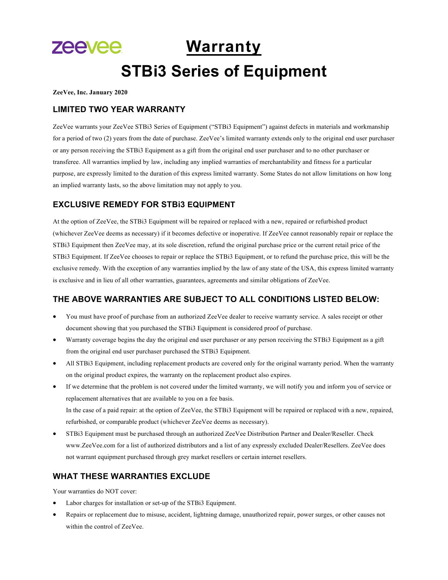# **zeevee Warranty STBi3 Series of Equipment**

**ZeeVee, Inc. January 2020**

### **LIMITED TWO YEAR WARRANTY**

ZeeVee warrants your ZeeVee STBi3 Series of Equipment ("STBi3 Equipment") against defects in materials and workmanship for a period of two (2) years from the date of purchase. ZeeVee's limited warranty extends only to the original end user purchaser or any person receiving the STBi3 Equipment as a gift from the original end user purchaser and to no other purchaser or transferee. All warranties implied by law, including any implied warranties of merchantability and fitness for a particular purpose, are expressly limited to the duration of this express limited warranty. Some States do not allow limitations on how long an implied warranty lasts, so the above limitation may not apply to you.

## **EXCLUSIVE REMEDY FOR STBi3 EQUIPMENT**

At the option of ZeeVee, the STBi3 Equipment will be repaired or replaced with a new, repaired or refurbished product (whichever ZeeVee deems as necessary) if it becomes defective or inoperative. If ZeeVee cannot reasonably repair or replace the STBi3 Equipment then ZeeVee may, at its sole discretion, refund the original purchase price or the current retail price of the STBi3 Equipment. If ZeeVee chooses to repair or replace the STBi3 Equipment, or to refund the purchase price, this will be the exclusive remedy. With the exception of any warranties implied by the law of any state of the USA, this express limited warranty is exclusive and in lieu of all other warranties, guarantees, agreements and similar obligations of ZeeVee.

## **THE ABOVE WARRANTIES ARE SUBJECT TO ALL CONDITIONS LISTED BELOW:**

- You must have proof of purchase from an authorized ZeeVee dealer to receive warranty service. A sales receipt or other document showing that you purchased the STBi3 Equipment is considered proof of purchase.
- Warranty coverage begins the day the original end user purchaser or any person receiving the STBi3 Equipment as a gift from the original end user purchaser purchased the STBi3 Equipment.
- All STBi3 Equipment, including replacement products are covered only for the original warranty period. When the warranty on the original product expires, the warranty on the replacement product also expires.
- If we determine that the problem is not covered under the limited warranty, we will notify you and inform you of service or replacement alternatives that are available to you on a fee basis. In the case of a paid repair: at the option of ZeeVee, the STBi3 Equipment will be repaired or replaced with a new, repaired, refurbished, or comparable product (whichever ZeeVee deems as necessary).
- STBi3 Equipment must be purchased through an authorized ZeeVee Distribution Partner and Dealer/Reseller. Check www.ZeeVee.com for a list of authorized distributors and a list of any expressly excluded Dealer/Resellers. ZeeVee does not warrant equipment purchased through grey market resellers or certain internet resellers.

## **WHAT THESE WARRANTIES EXCLUDE**

Your warranties do NOT cover:

- Labor charges for installation or set-up of the STBi3 Equipment.
- Repairs or replacement due to misuse, accident, lightning damage, unauthorized repair, power surges, or other causes not within the control of ZeeVee.